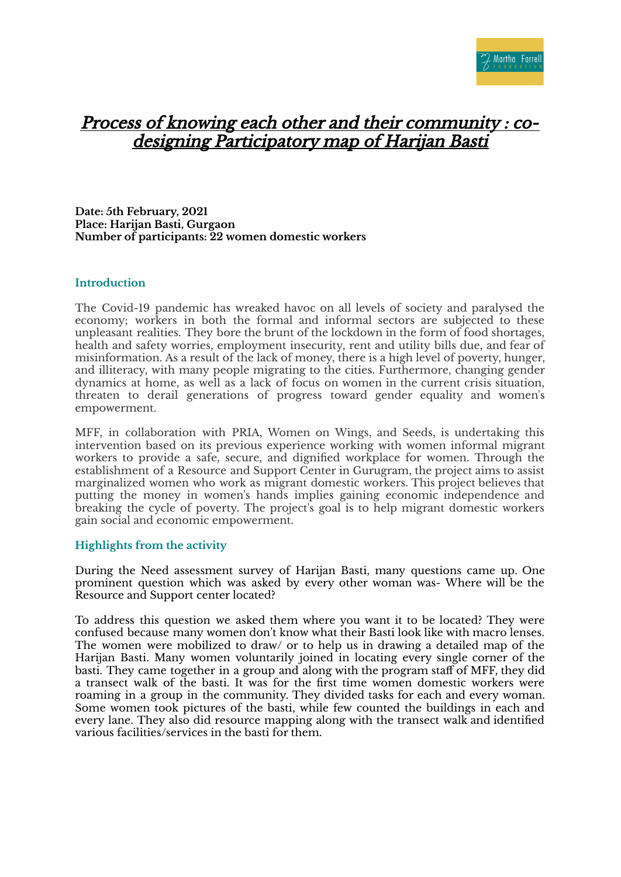

## Process of knowing each other and their community : codesigning Participatory map of Harijan Basti

**Date: 5th February, 2021 Place: Harijan Basti, Gurgaon Number of participants: 22 women domestic workers**

## **Introduction**

The Covid-19 pandemic has wreaked havoc on all levels of society and paralysed the economy; workers in both the formal and informal sectors are subjected to these unpleasant realities. They bore the brunt of the lockdown in the form of food shortages, health and safety worries, employment insecurity, rent and utility bills due, and fear of misinformation. As a result of the lack of money, there is a high level of poverty, hunger, and illiteracy, with many people migrating to the cities. Furthermore, changing gender dynamics at home, as well as a lack of focus on women in the current crisis situation, threaten to derail generations of progress toward gender equality and women's empowerment.

MFF, in collaboration with PRIA, Women on Wings, and Seeds, is undertaking this intervention based on its previous experience working with women informal migrant workers to provide a safe, secure, and dignified workplace for women. Through the establishment of a Resource and Support Center in Gurugram, the project aims to assist marginalized women who work as migrant domestic workers. This project believes that putting the money in women's hands implies gaining economic independence and breaking the cycle of poverty. The project's goal is to help migrant domestic workers gain social and economic empowerment.

## **Highlights from the activity**

During the Need assessment survey of Harijan Basti, many questions came up. One prominent question which was asked by every other woman was- Where will be the Resource and Support center located?

To address this question we asked them where you want it to be located? They were confused because many women don't know what their Basti look like with macro lenses. The women were mobilized to draw/ or to help us in drawing a detailed map of the Harijan Basti. Many women voluntarily joined in locating every single corner of the basti. They came together in a group and along with the program staff of MFF, they did a transect walk of the basti. It was for the first time women domestic workers were roaming in a group in the community. They divided tasks for each and every woman. Some women took pictures of the basti, while few counted the buildings in each and every lane. They also did resource mapping along with the transect walk and identified various facilities/services in the basti for them.